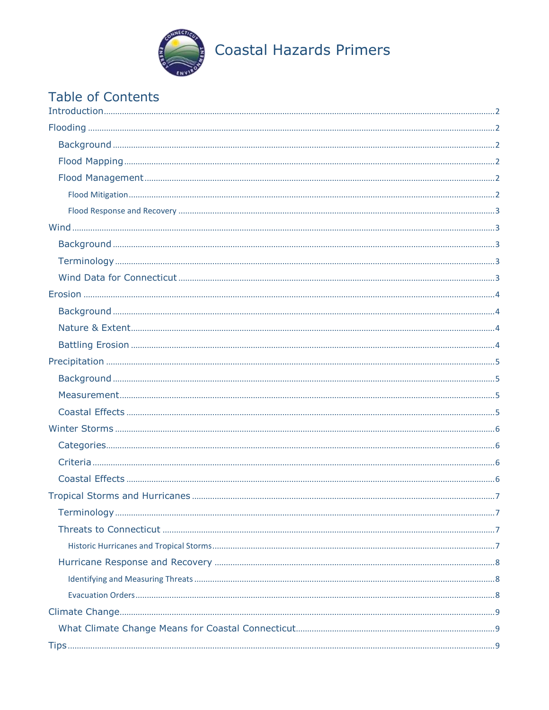

# Table of Contents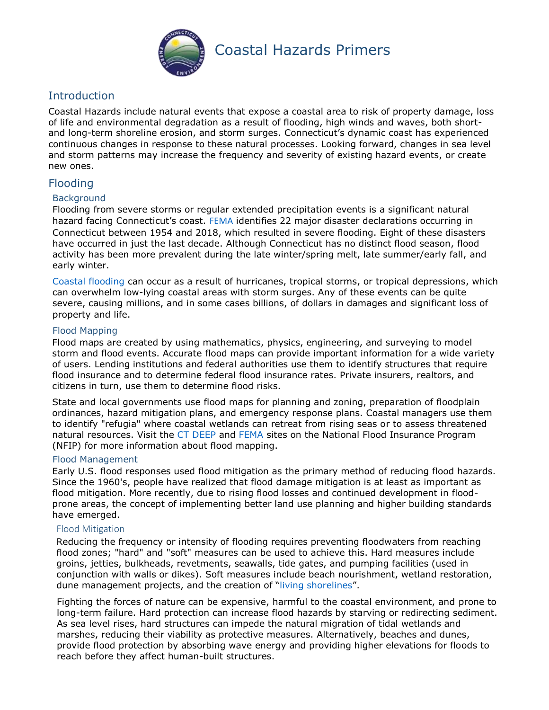

# <span id="page-1-0"></span>**Introduction**

Coastal Hazards include natural events that expose a coastal area to risk of property damage, loss of life and environmental degradation as a result of flooding, high winds and waves, both shortand long-term shoreline erosion, and storm surges. Connecticut's dynamic coast has experienced continuous changes in response to these natural processes. Looking forward, changes in sea level and storm patterns may increase the frequency and severity of existing hazard events, or create new ones.

# <span id="page-1-1"></span>Flooding

# <span id="page-1-2"></span>**Background**

Flooding from severe storms or regular extended precipitation events is a significant natural hazard facing Connecticut's coast. [FEMA](https://www.fema.gov/disasters/state-tribal-government/0/CT) identifies 22 major disaster declarations occurring in Connecticut between 1954 and 2018, which resulted in severe flooding. Eight of these disasters have occurred in just the last decade. Although Connecticut has no distinct flood season, flood activity has been more prevalent during the late winter/spring melt, late summer/early fall, and early winter.

[Coastal flooding](https://www.nssl.noaa.gov/education/svrwx101/floods/types/) can occur as a result of hurricanes, tropical storms, or tropical depressions, which can overwhelm low-lying coastal areas with storm surges. Any of these events can be quite severe, causing millions, and in some cases billions, of dollars in damages and significant loss of property and life.

# <span id="page-1-3"></span>Flood Mapping

Flood maps are created by using mathematics, physics, engineering, and surveying to model storm and flood events. Accurate flood maps can provide important information for a wide variety of users. Lending institutions and federal authorities use them to identify structures that require flood insurance and to determine federal flood insurance rates. Private insurers, realtors, and citizens in turn, use them to determine flood risks.

State and local governments use flood maps for planning and zoning, preparation of floodplain ordinances, hazard mitigation plans, and emergency response plans. Coastal managers use them to identify "refugia" where coastal wetlands can retreat from rising seas or to assess threatened natural resources. Visit the [CT DEEP](https://portal.ct.gov/DEEP/Water/Flood-Management/National-Flood-Insurance-Program-NFIP) and [FEMA](https://www.fema.gov/national-flood-insurance-program) sites on the National Flood Insurance Program (NFIP) for more information about flood mapping.

#### <span id="page-1-4"></span>Flood Management

Early U.S. flood responses used flood mitigation as the primary method of reducing flood hazards. Since the 1960's, people have realized that flood damage mitigation is at least as important as flood mitigation. More recently, due to rising flood losses and continued development in floodprone areas, the concept of implementing better land use planning and higher building standards have emerged.

#### <span id="page-1-5"></span>Flood Mitigation

Reducing the frequency or intensity of flooding requires preventing floodwaters from reaching flood zones; "hard" and "soft" measures can be used to achieve this. Hard measures include groins, jetties, bulkheads, revetments, seawalls, tide gates, and pumping facilities (used in conjunction with walls or dikes). Soft measures include beach nourishment, wetland restoration, dune management projects, and the creation of "[living shorelines](https://portal.ct.gov/DEEP/Coastal-Resources/Coastal-Management/Living-Shorelines)".

Fighting the forces of nature can be expensive, harmful to the coastal environment, and prone to long-term failure. Hard protection can increase flood hazards by starving or redirecting sediment. As sea level rises, hard structures can impede the natural migration of tidal wetlands and marshes, reducing their viability as protective measures. Alternatively, beaches and dunes, provide flood protection by absorbing wave energy and providing higher elevations for floods to reach before they affect human-built structures.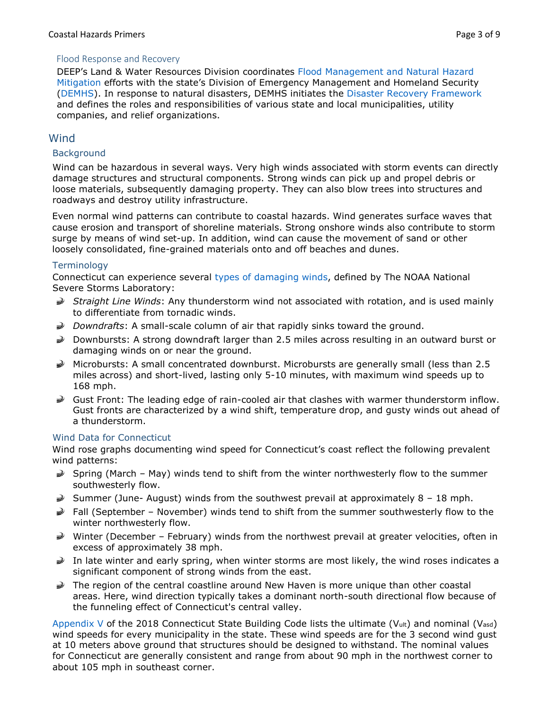# <span id="page-2-0"></span>Flood Response and Recovery

DEEP's Land & Water Resources Division coordinates [Flood Management and Natural Hazard](https://portal.ct.gov/DEEP/Water/Flood-Management/Flood-Management-and-Natural-Hazard-Mitigation)  [Mitigation](https://portal.ct.gov/DEEP/Water/Flood-Management/Flood-Management-and-Natural-Hazard-Mitigation) efforts with the state's Division of Emergency Management and Homeland Security [\(DEMHS\)](https://portal.ct.gov/DEMHS). In response to natural disasters, DEMHS initiates the [Disaster Recovery Framework](https://portal.ct.gov/-/media/DEMHS/_docs/Plans-and-Publications/EHSP0010-DisasterRecoveryFramework.pdf?la=en) and defines the roles and responsibilities of various state and local municipalities, utility companies, and relief organizations.

# <span id="page-2-1"></span>**Wind**

# <span id="page-2-2"></span>**Background**

Wind can be hazardous in several ways. Very high winds associated with storm events can directly damage structures and structural components. Strong winds can pick up and propel debris or loose materials, subsequently damaging property. They can also blow trees into structures and roadways and destroy utility infrastructure.

Even normal wind patterns can contribute to coastal hazards. Wind generates surface waves that cause erosion and transport of shoreline materials. Strong onshore winds also contribute to storm surge by means of wind set-up. In addition, wind can cause the movement of sand or other loosely consolidated, fine-grained materials onto and off beaches and dunes.

#### <span id="page-2-3"></span>**Terminology**

Connecticut can experience several [types of damaging winds,](https://www.nssl.noaa.gov/education/svrwx101/wind/types/) defined by The NOAA National Severe Storms Laboratory:

- *Straight Line Winds*: Any thunderstorm wind not associated with rotation, and is used mainly to differentiate from tornadic winds.
- *Downdrafts*: A small-scale column of air that rapidly sinks toward the ground.
- Downbursts: A strong downdraft larger than 2.5 miles across resulting in an outward burst or damaging winds on or near the ground.
- $\blacktriangleright$  Microbursts: A small concentrated downburst. Microbursts are generally small (less than 2.5 miles across) and short-lived, lasting only 5-10 minutes, with maximum wind speeds up to 168 mph.
- Gust Front: The leading edge of rain-cooled air that clashes with warmer thunderstorm inflow. Gust fronts are characterized by a wind shift, temperature drop, and gusty winds out ahead of a thunderstorm.

#### <span id="page-2-4"></span>Wind Data for Connecticut

Wind rose graphs documenting wind speed for Connecticut's coast reflect the following prevalent wind patterns:

- $\geqslant$  Spring (March May) winds tend to shift from the winter northwesterly flow to the summer southwesterly flow.
- Summer (June- August) winds from the southwest prevail at approximately  $8 18$  mph.
- $\geq$  Fall (September November) winds tend to shift from the summer southwesterly flow to the winter northwesterly flow.
- Winter (December February) winds from the northwest prevail at greater velocities, often in excess of approximately 38 mph.
- In late winter and early spring, when winter storms are most likely, the wind roses indicates a significant component of strong winds from the east.
- $\geqslant$  The region of the central coastline around New Haven is more unique than other coastal areas. Here, wind direction typically takes a dominant north-south directional flow because of the funneling effect of Connecticut's central valley.

[Appendix V](https://portal.ct.gov/-/media/DAS/Office-of-State-Building-Inspector/2018-CT-State-Building-Code---Effective-10-01-18.pdf?la=en) of the 2018 Connecticut State Building Code lists the ultimate (V<sub>ult</sub>) and nominal (V<sub>asd</sub>) wind speeds for every municipality in the state. These wind speeds are for the 3 second wind gust at 10 meters above ground that structures should be designed to withstand. The nominal values for Connecticut are generally consistent and range from about 90 mph in the northwest corner to about 105 mph in southeast corner.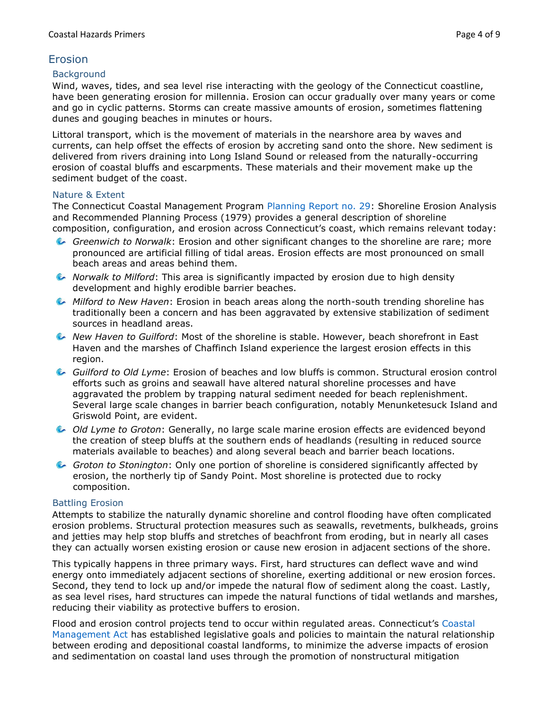# <span id="page-3-0"></span>Erosion

### <span id="page-3-1"></span>**Background**

Wind, waves, tides, and sea level rise interacting with the geology of the Connecticut coastline, have been generating erosion for millennia. Erosion can occur gradually over many years or come and go in cyclic patterns. Storms can create massive amounts of erosion, sometimes flattening dunes and gouging beaches in minutes or hours.

Littoral transport, which is the movement of materials in the nearshore area by waves and currents, can help offset the effects of erosion by accreting sand onto the shore. New sediment is delivered from rivers draining into Long Island Sound or released from the naturally-occurring erosion of coastal bluffs and escarpments. These materials and their movement make up the sediment budget of the coast.

# <span id="page-3-2"></span>Nature & Extent

The Connecticut Coastal Management Program [Planning Report no. 29:](https://portal.ct.gov/-/media/DEEP/coastal-resources/coastal_management/coastal_hazards/plngreport29pdf.pdf?la=en) Shoreline Erosion Analysis and Recommended Planning Process (1979) provides a general description of shoreline composition, configuration, and erosion across Connecticut's coast, which remains relevant today:

- *Greenwich to Norwalk*: Erosion and other significant changes to the shoreline are rare; more pronounced are artificial filling of tidal areas. Erosion effects are most pronounced on small beach areas and areas behind them.
- *Norwalk to Milford*: This area is significantly impacted by erosion due to high density development and highly erodible barrier beaches.
- *Milford to New Haven*: Erosion in beach areas along the north-south trending shoreline has traditionally been a concern and has been aggravated by extensive stabilization of sediment sources in headland areas.
- *New Haven to Guilford*: Most of the shoreline is stable. However, beach shorefront in East Haven and the marshes of Chaffinch Island experience the largest erosion effects in this region.
- *Guilford to Old Lyme*: Erosion of beaches and low bluffs is common. Structural erosion control efforts such as groins and seawall have altered natural shoreline processes and have aggravated the problem by trapping natural sediment needed for beach replenishment. Several large scale changes in barrier beach configuration, notably Menunketesuck Island and Griswold Point, are evident.
- *Old Lyme to Groton*: Generally, no large scale marine erosion effects are evidenced beyond the creation of steep bluffs at the southern ends of headlands (resulting in reduced source materials available to beaches) and along several beach and barrier beach locations.
- *Groton to Stonington*: Only one portion of shoreline is considered significantly affected by erosion, the northerly tip of Sandy Point. Most shoreline is protected due to rocky composition.

# <span id="page-3-3"></span>Battling Erosion

Attempts to stabilize the naturally dynamic shoreline and control flooding have often complicated erosion problems. Structural protection measures such as seawalls, revetments, bulkheads, groins and jetties may help stop bluffs and stretches of beachfront from eroding, but in nearly all cases they can actually worsen existing erosion or cause new erosion in adjacent sections of the shore.

This typically happens in three primary ways. First, hard structures can deflect wave and wind energy onto immediately adjacent sections of shoreline, exerting additional or new erosion forces. Second, they tend to lock up and/or impede the natural flow of sediment along the coast. Lastly, as sea level rises, hard structures can impede the natural functions of tidal wetlands and marshes, reducing their viability as protective buffers to erosion.

Flood and erosion control projects tend to occur within regulated areas. Connecticut's [Coastal](https://www.cga.ct.gov/current/pub/chap_444.htm#sec_22a-90)  [Management Act](https://www.cga.ct.gov/current/pub/chap_444.htm#sec_22a-90) has established legislative goals and policies to maintain the natural relationship between eroding and depositional coastal landforms, to minimize the adverse impacts of erosion and sedimentation on coastal land uses through the promotion of nonstructural mitigation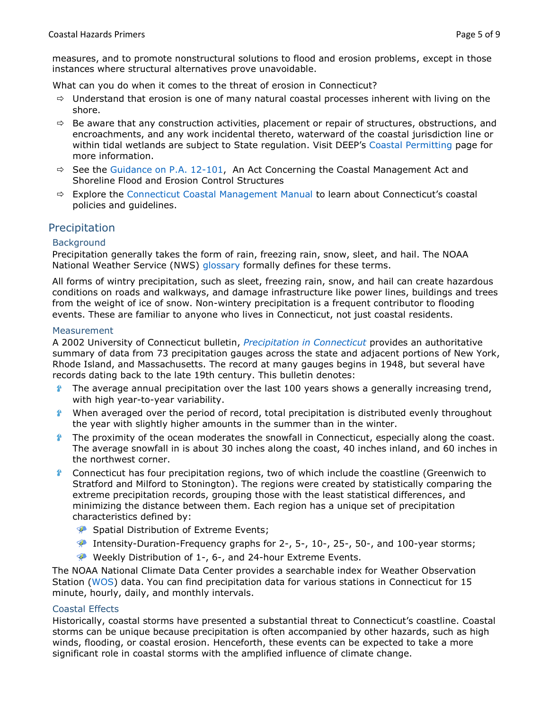measures, and to promote nonstructural solutions to flood and erosion problems, except in those instances where structural alternatives prove unavoidable.

What can you do when it comes to the threat of erosion in Connecticut?

- $\Rightarrow$  Understand that erosion is one of many natural coastal processes inherent with living on the shore.
- $\Rightarrow$  Be aware that any construction activities, placement or repair of structures, obstructions, and encroachments, and any work incidental thereto, waterward of the coastal jurisdiction line or within tidal wetlands are subject to State regulation. Visit DEEP's [Coastal Permitting](https://portal.ct.gov/DEEP/Coastal-Resources/Coastal-Permitting/Coastal-Permitting) page for more information.
- $\Rightarrow$  See the [Guidance on P.A. 12-101,](https://portal.ct.gov/DEEP/Coastal-Resources/Coastal-Management/PA-12-101-Coastal-Omnibus-Fact-Sheet) An Act Concerning the Coastal Management Act and Shoreline Flood and Erosion Control Structures
- $\Rightarrow$  Explore the [Connecticut Coastal Management Manual](https://portal.ct.gov/DEEP/Coastal-Resources/Coastal-Management/Connecticut-Coastal-Management-Manual) to learn about Connecticut's coastal policies and guidelines.

# <span id="page-4-0"></span>Precipitation

# <span id="page-4-1"></span>**Background**

Precipitation generally takes the form of rain, freezing rain, snow, sleet, and hail. The NOAA National Weather Service (NWS) [glossary](https://w1.weather.gov/glossary/) formally defines for these terms.

All forms of wintry precipitation, such as sleet, freezing rain, snow, and hail can create hazardous conditions on roads and walkways, and damage infrastructure like power lines, buildings and trees from the weight of ice of snow. Non-wintery precipitation is a frequent contributor to flooding events. These are familiar to anyone who lives in Connecticut, not just coastal residents.

#### <span id="page-4-2"></span>**Measurement**

A 2002 University of Connecticut bulletin, *[Precipitation in Connecticut](https://pdfs.semanticscholar.org/6191/963827daa33a2f789780170098e72493d304.pdf)* provides an authoritative summary of data from 73 precipitation gauges across the state and adjacent portions of New York, Rhode Island, and Massachusetts. The record at many gauges begins in 1948, but several have records dating back to the late 19th century. This bulletin denotes:

- 參 The average annual precipitation over the last 100 years shows a generally increasing trend, with high year-to-year variability.
- $\mathbf{A}$ When averaged over the period of record, total precipitation is distributed evenly throughout the year with slightly higher amounts in the summer than in the winter.
- $\mathbf{r}$ The proximity of the ocean moderates the snowfall in Connecticut, especially along the coast. The average snowfall in is about 30 inches along the coast, 40 inches inland, and 60 inches in the northwest corner.
- $\bullet$ Connecticut has four precipitation regions, two of which include the coastline (Greenwich to Stratford and Milford to Stonington). The regions were created by statistically comparing the extreme precipitation records, grouping those with the least statistical differences, and minimizing the distance between them. Each region has a unique set of precipitation characteristics defined by:
	- **Spatial Distribution of Extreme Events;**
	- Intensity-Duration-Frequency graphs for 2-, 5-, 10-, 25-, 50-, and 100-year storms;
	- Weekly Distribution of 1-, 6-, and 24-hour Extreme Events.

The NOAA National Climate Data Center provides a searchable index for Weather Observation Station [\(WOS\)](https://www.ncdc.noaa.gov/data-access/land-based-station-data/find-station) data. You can find precipitation data for various stations in Connecticut for 15 minute, hourly, daily, and monthly intervals.

#### <span id="page-4-3"></span>Coastal Effects

Historically, coastal storms have presented a substantial threat to Connecticut's coastline. Coastal storms can be unique because precipitation is often accompanied by other hazards, such as high winds, flooding, or coastal erosion. Henceforth, these events can be expected to take a more significant role in coastal storms with the amplified influence of climate change.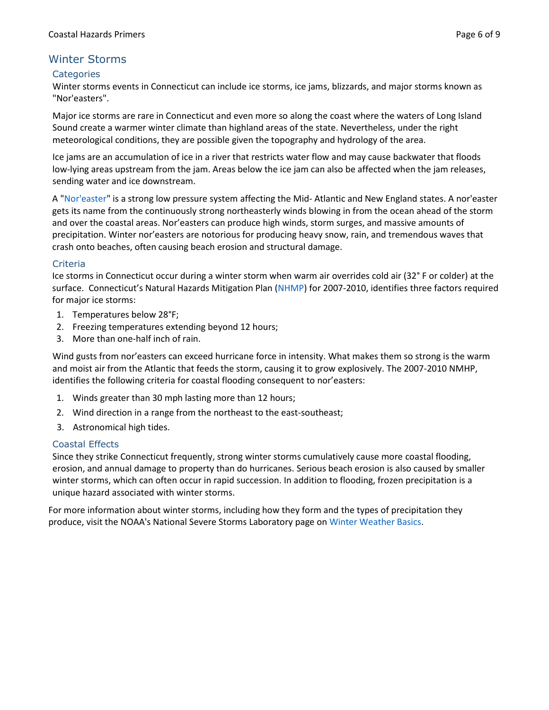# <span id="page-5-0"></span>Winter Storms

# <span id="page-5-1"></span>**Categories**

Winter storms events in Connecticut can include ice storms, ice jams, blizzards, and major storms known as "Nor'easters".

Major ice storms are rare in Connecticut and even more so along the coast where the waters of Long Island Sound create a warmer winter climate than highland areas of the state. Nevertheless, under the right meteorological conditions, they are possible given the topography and hydrology of the area.

Ice jams are an accumulation of ice in a river that restricts water flow and may cause backwater that floods low-lying areas upstream from the jam. Areas below the ice jam can also be affected when the jam releases, sending water and ice downstream.

A ["Nor'easter"](https://scijinks.gov/noreaster/) is a strong low pressure system affecting the Mid- Atlantic and New England states. A nor'easter gets its name from the continuously strong northeasterly winds blowing in from the ocean ahead of the storm and over the coastal areas. Nor'easters can produce high winds, storm surges, and massive amounts of precipitation. Winter nor'easters are notorious for producing heavy snow, rain, and tremendous waves that crash onto beaches, often causing beach erosion and structural damage.

# <span id="page-5-2"></span>Criteria

Ice storms in Connecticut occur during a winter storm when warm air overrides cold air (32° F or colder) at the surface. Connecticut's Natural Hazards Mitigation Plan ([NHMP\)](https://portal.ct.gov/-/media/DEEP/water/hazard_mitigation/plan/hazardmitigationplanpdf.pdf?la=en) for 2007-2010, identifies three factors required for major ice storms:

- 1. Temperatures below 28°F;
- 2. Freezing temperatures extending beyond 12 hours;
- 3. More than one-half inch of rain.

Wind gusts from nor'easters can exceed hurricane force in intensity. What makes them so strong is the warm and moist air from the Atlantic that feeds the storm, causing it to grow explosively. The 2007-2010 NMHP, identifies the following criteria for coastal flooding consequent to nor'easters:

- 1. Winds greater than 30 mph lasting more than 12 hours;
- 2. Wind direction in a range from the northeast to the east-southeast;
- 3. Astronomical high tides.

#### <span id="page-5-3"></span>Coastal Effects

Since they strike Connecticut frequently, strong winter storms cumulatively cause more coastal flooding, erosion, and annual damage to property than do hurricanes. Serious beach erosion is also caused by smaller winter storms, which can often occur in rapid succession. In addition to flooding, frozen precipitation is a unique hazard associated with winter storms.

For more information about winter storms, including how they form and the types of precipitation they produce, visit the NOAA's National Severe Storms Laboratory page o[n Winter Weather Basics.](https://www.nssl.noaa.gov/education/svrwx101/winter/)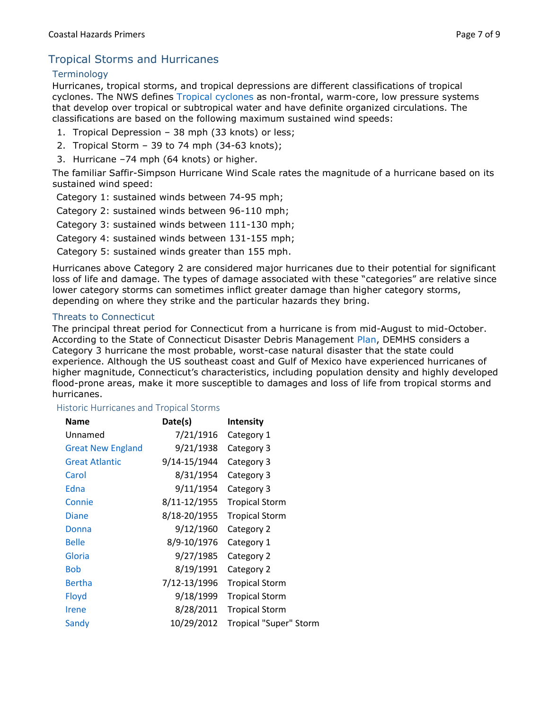# <span id="page-6-0"></span>Tropical Storms and Hurricanes

# <span id="page-6-1"></span>**Terminology**

Hurricanes, tropical storms, and tropical depressions are different classifications of tropical cyclones. The NWS defines [Tropical cyclones](https://www.weather.gov/media/zhu/ZHU_Training_Page/tropical_stuff/tropical_cyclone_brochure/TropicalCyclones.pdf) as non-frontal, warm-core, low pressure systems that develop over tropical or subtropical water and have definite organized circulations. The classifications are based on the following maximum sustained wind speeds:

- 1. Tropical Depression 38 mph (33 knots) or less;
- 2. Tropical Storm 39 to 74 mph (34-63 knots);
- 3. Hurricane –74 mph (64 knots) or higher.

The familiar Saffir-Simpson Hurricane Wind Scale rates the magnitude of a hurricane based on its sustained wind speed:

Category 1: sustained winds between 74-95 mph;

Category 2: sustained winds between 96-110 mph;

Category 3: sustained winds between 111-130 mph;

Category 4: sustained winds between 131-155 mph;

Category 5: sustained winds greater than 155 mph.

Hurricanes above Category 2 are considered major hurricanes due to their potential for significant loss of life and damage. The types of damage associated with these "categories" are relative since lower category storms can sometimes inflict greater damage than higher category storms, depending on where they strike and the particular hazards they bring.

# <span id="page-6-2"></span>Threats to Connecticut

The principal threat period for Connecticut from a hurricane is from mid-August to mid-October. According to the State of Connecticut Disaster Debris Management [Plan,](https://portal.ct.gov/-/media/DEEP/waste_management_and_disposal/debris_management/DisasterDebrisManagementPlanpdf.pdf?la=en) DEMHS considers a Category 3 hurricane the most probable, worst-case natural disaster that the state could experience. Although the US southeast coast and Gulf of Mexico have experienced hurricanes of higher magnitude, Connecticut's characteristics, including population density and highly developed flood-prone areas, make it more susceptible to damages and loss of life from tropical storms and hurricanes.

#### <span id="page-6-3"></span>Historic Hurricanes and Tropical Storms

| <b>Name</b>              | Date(s)      | <b>Intensity</b>       |
|--------------------------|--------------|------------------------|
| Unnamed                  | 7/21/1916    | Category 1             |
| <b>Great New England</b> | 9/21/1938    | Category 3             |
| <b>Great Atlantic</b>    | 9/14-15/1944 | Category 3             |
| Carol                    | 8/31/1954    | Category 3             |
| Edna                     | 9/11/1954    | Category 3             |
| Connie                   | 8/11-12/1955 | <b>Tropical Storm</b>  |
| <b>Diane</b>             | 8/18-20/1955 | <b>Tropical Storm</b>  |
| Donna                    | 9/12/1960    | Category 2             |
| <b>Belle</b>             | 8/9-10/1976  | Category 1             |
| Gloria                   | 9/27/1985    | Category 2             |
| <b>Bob</b>               | 8/19/1991    | Category 2             |
| <b>Bertha</b>            | 7/12-13/1996 | <b>Tropical Storm</b>  |
| Floyd                    | 9/18/1999    | <b>Tropical Storm</b>  |
| <b>Irene</b>             | 8/28/2011    | <b>Tropical Storm</b>  |
| Sandy                    | 10/29/2012   | Tropical "Super" Storm |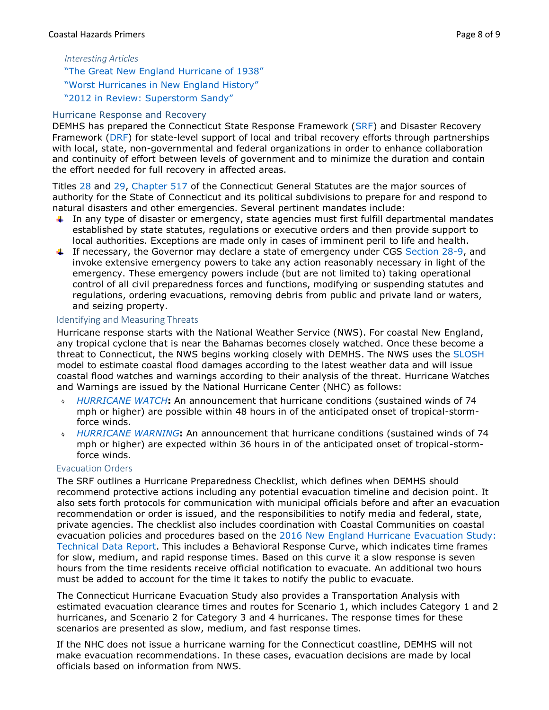# *Interesting Articles*

["The Great New England Hurricane of 1938"](https://www.weather.gov/box/1938hurricane) ["Worst Hurricanes in New England History"](https://newengland.com/today/living/new-england-history/worst-hurricanes-in-new-england-history/) ["2012 in Review: Superstorm Sandy"](https://www.connecticutmag.com/the-connecticut-story/in-review-superstorm-sandy/article_a42227f1-6919-532f-986f-49a9bae14409.html)

# <span id="page-7-0"></span>Hurricane Response and Recovery

DEMHS has prepared the Connecticut State Response Framework [\(SRF\)](https://portal.ct.gov/-/media/DEMHS/_docs/SRFV41pdf.pdf?la=en) and Disaster Recovery Framework [\(DRF\)](https://portal.ct.gov/-/media/DEMHS/_docs/Plans-and-Publications/EHSP0010-DisasterRecoveryFramework.pdf?la=en) for state-level support of local and tribal recovery efforts through partnerships with local, state, non-governmental and federal organizations in order to enhance collaboration and continuity of effort between levels of government and to minimize the duration and contain the effort needed for full recovery in affected areas.

Titles [28](https://www.cga.ct.gov/current/pub/title_28.htm) and [29,](https://www.cga.ct.gov/current/pub/title_29.htm) [Chapter 517](https://www.cga.ct.gov/current/pub/chap_517.htm) of the Connecticut General Statutes are the major sources of authority for the State of Connecticut and its political subdivisions to prepare for and respond to natural disasters and other emergencies. Several pertinent mandates include:

- In any type of disaster or emergency, state agencies must first fulfill departmental mandates established by state statutes, regulations or executive orders and then provide support to local authorities. Exceptions are made only in cases of imminent peril to life and health.
- If necessary, the Governor may declare a state of emergency under CGS [Section 28-9,](https://www.cga.ct.gov/current/pub/chap_517.htm#sec_28-9) and invoke extensive emergency powers to take any action reasonably necessary in light of the emergency. These emergency powers include (but are not limited to) taking operational control of all civil preparedness forces and functions, modifying or suspending statutes and regulations, ordering evacuations, removing debris from public and private land or waters, and seizing property.

# <span id="page-7-1"></span>Identifying and Measuring Threats

Hurricane response starts with the National Weather Service (NWS). For coastal New England, any tropical cyclone that is near the Bahamas becomes closely watched. Once these become a threat to Connecticut, the NWS begins working closely with DEMHS. The NWS uses the [SLOSH](https://www.nhc.noaa.gov/surge/slosh.php) model to estimate coastal flood damages according to the latest weather data and will issue coastal flood watches and warnings according to their analysis of the threat. Hurricane Watches and Warnings are issued by the National Hurricane Center (NHC) as follows:

- *[HURRICANE WATCH](https://www.weather.gov/safety/hurricane-ww)***:** An announcement that hurricane conditions (sustained winds of 74 mph or higher) are possible within 48 hours in of the anticipated onset of tropical-stormforce winds.
- *[HURRICANE WARNING](https://www.weather.gov/safety/hurricane-ww)***:** An announcement that hurricane conditions (sustained winds of 74  $\bar{\Theta}$ mph or higher) are expected within 36 hours in of the anticipated onset of tropical-stormforce winds.

# <span id="page-7-2"></span>Evacuation Orders

The SRF outlines a Hurricane Preparedness Checklist, which defines when DEMHS should recommend protective actions including any potential evacuation timeline and decision point. It also sets forth protocols for communication with municipal officials before and after an evacuation recommendation or order is issued, and the responsibilities to notify media and federal, state, private agencies. The checklist also includes coordination with Coastal Communities on coastal evacuation policies and procedures based on the 2016 New England [Hurricane Evacuation Study:](https://www.nae.usace.army.mil/Portals/74/docs/Topics/HurricaneStudies/2016%20State%20Updates/Massachusetts/New%20England%20Hurricane%20Evacuation%20Study.pdf)  [Technical Data Report.](https://www.nae.usace.army.mil/Portals/74/docs/Topics/HurricaneStudies/2016%20State%20Updates/Massachusetts/New%20England%20Hurricane%20Evacuation%20Study.pdf) This includes a Behavioral Response Curve, which indicates time frames for slow, medium, and rapid response times. Based on this curve it a slow response is seven hours from the time residents receive official notification to evacuate. An additional two hours must be added to account for the time it takes to notify the public to evacuate.

The Connecticut Hurricane Evacuation Study also provides a Transportation Analysis with estimated evacuation clearance times and routes for Scenario 1, which includes Category 1 and 2 hurricanes, and Scenario 2 for Category 3 and 4 hurricanes. The response times for these scenarios are presented as slow, medium, and fast response times.

If the NHC does not issue a hurricane warning for the Connecticut coastline, DEMHS will not make evacuation recommendations. In these cases, evacuation decisions are made by local officials based on information from NWS.